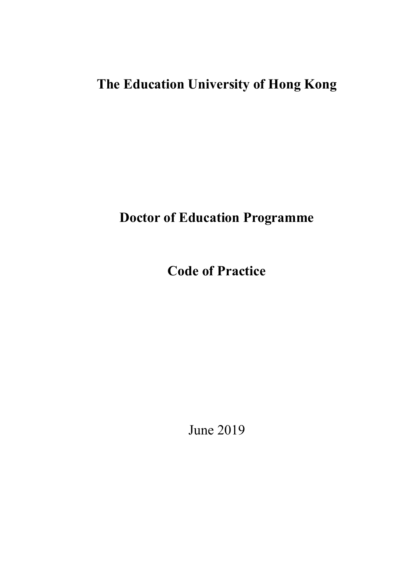# **The Education University of Hong Kong**

**Doctor of Education Programme**

**Code of Practice**

June 2019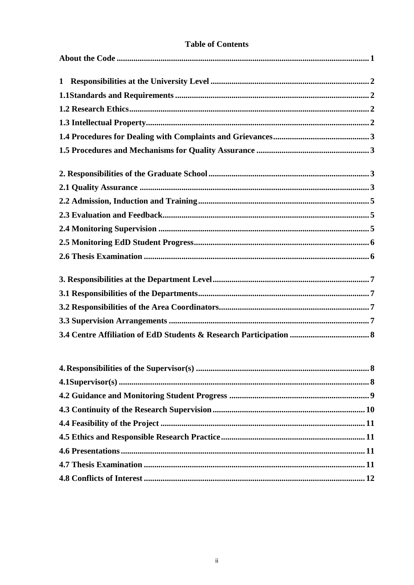## **Table of Contents**

| $\mathbf{1}$ |
|--------------|
|              |
|              |
|              |
|              |
|              |
|              |
|              |
|              |
|              |
|              |
|              |
|              |
|              |
|              |
|              |
|              |
|              |
|              |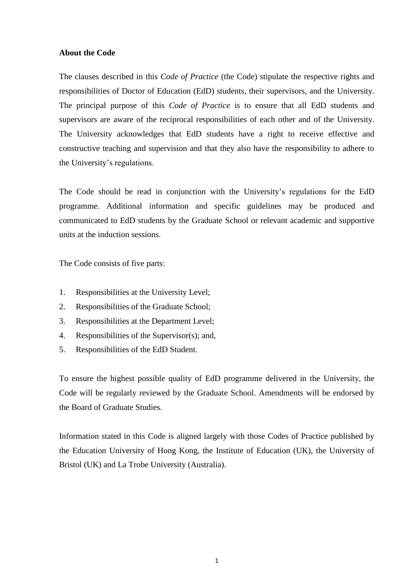## <span id="page-3-0"></span>**About the Code**

The clauses described in this *Code of Practice* (the Code) stipulate the respective rights and responsibilities of Doctor of Education (EdD) students, their supervisors, and the University. The principal purpose of this *Code of Practice* is to ensure that all EdD students and supervisors are aware of the reciprocal responsibilities of each other and of the University. The University acknowledges that EdD students have a right to receive effective and constructive teaching and supervision and that they also have the responsibility to adhere to the University's regulations.

The Code should be read in conjunction with the University's regulations for the EdD programme. Additional information and specific guidelines may be produced and communicated to EdD students by the Graduate School or relevant academic and supportive units at the induction sessions.

The Code consists of five parts:

- 1. Responsibilities at the University Level;
- 2. Responsibilities of the Graduate School;
- 3. Responsibilities at the Department Level;
- 4. Responsibilities of the Supervisor(s); and,
- 5. Responsibilities of the EdD Student.

To ensure the highest possible quality of EdD programme delivered in the University, the Code will be regularly reviewed by the Graduate School. Amendments will be endorsed by the Board of Graduate Studies.

Information stated in this Code is aligned largely with those Codes of Practice published by the Education University of Hong Kong, the Institute of Education (UK), the University of Bristol (UK) and La Trobe University (Australia).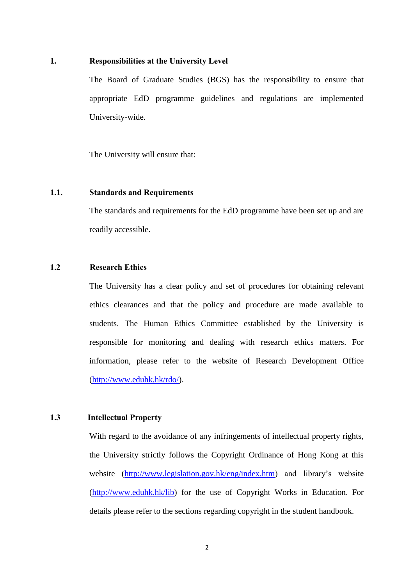#### **1. Responsibilities at the University Level**

The Board of Graduate Studies (BGS) has the responsibility to ensure that appropriate EdD programme guidelines and regulations are implemented University-wide.

The University will ensure that:

#### <span id="page-4-0"></span>**1.1. Standards and Requirements**

The standards and requirements for the EdD programme have been set up and are readily accessible.

#### <span id="page-4-1"></span>**1.2 Research Ethics**

The University has a clear policy and set of procedures for obtaining relevant ethics clearances and that the policy and procedure are made available to students. The Human Ethics Committee established by the University is responsible for monitoring and dealing with research ethics matters. For information, please refer to the website of Research Development Office [\(http://www.eduhk.hk/rdo/\)](http://www.eduhk.hk/rdo/).

## <span id="page-4-2"></span>**1.3 Intellectual Property**

With regard to the avoidance of any infringements of intellectual property rights, the University strictly follows the Copyright Ordinance of Hong Kong at this website [\(http://www.legislation.gov.hk/eng/index.htm\)](http://www.legislation.gov.hk/eng/index.htm) and library's website [\(http://www.eduhk.hk/lib\)](http://www.eduhk.hk/lib) for the use of Copyright Works in Education. For details please refer to the sections regarding copyright in the student handbook.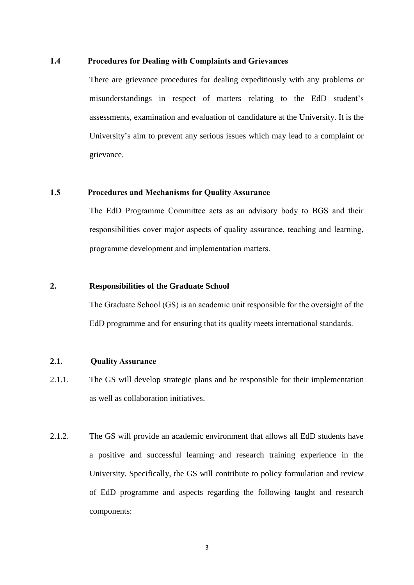#### <span id="page-5-0"></span>**1.4 Procedures for Dealing with Complaints and Grievances**

There are grievance procedures for dealing expeditiously with any problems or misunderstandings in respect of matters relating to the EdD student's assessments, examination and evaluation of candidature at the University. It is the University's aim to prevent any serious issues which may lead to a complaint or grievance.

#### <span id="page-5-1"></span>**1.5 Procedures and Mechanisms for Quality Assurance**

The EdD Programme Committee acts as an advisory body to BGS and their responsibilities cover major aspects of quality assurance, teaching and learning, programme development and implementation matters.

## **2. Responsibilities of the Graduate School**

The Graduate School (GS) is an academic unit responsible for the oversight of the EdD programme and for ensuring that its quality meets international standards.

#### <span id="page-5-2"></span>**2.1. Quality Assurance**

- 2.1.1. The GS will develop strategic plans and be responsible for their implementation as well as collaboration initiatives.
- 2.1.2. The GS will provide an academic environment that allows all EdD students have a positive and successful learning and research training experience in the University. Specifically, the GS will contribute to policy formulation and review of EdD programme and aspects regarding the following taught and research components: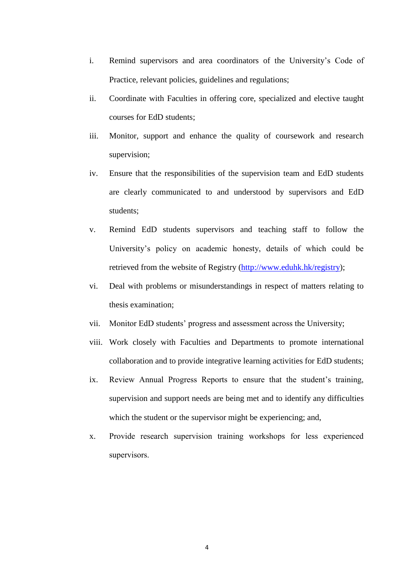- i. Remind supervisors and area coordinators of the University's Code of Practice, relevant policies, guidelines and regulations;
- ii. Coordinate with Faculties in offering core, specialized and elective taught courses for EdD students;
- iii. Monitor, support and enhance the quality of coursework and research supervision;
- iv. Ensure that the responsibilities of the supervision team and EdD students are clearly communicated to and understood by supervisors and EdD students;
- v. Remind EdD students supervisors and teaching staff to follow the University's policy on academic honesty, details of which could be retrieved from the website of Registry [\(http://www.eduhk.hk/registry\)](http://www.eduhk.hk/registry);
- vi. Deal with problems or misunderstandings in respect of matters relating to thesis examination;
- vii. Monitor EdD students' progress and assessment across the University;
- viii. Work closely with Faculties and Departments to promote international collaboration and to provide integrative learning activities for EdD students;
- ix. Review Annual Progress Reports to ensure that the student's training, supervision and support needs are being met and to identify any difficulties which the student or the supervisor might be experiencing; and,
- x. Provide research supervision training workshops for less experienced supervisors.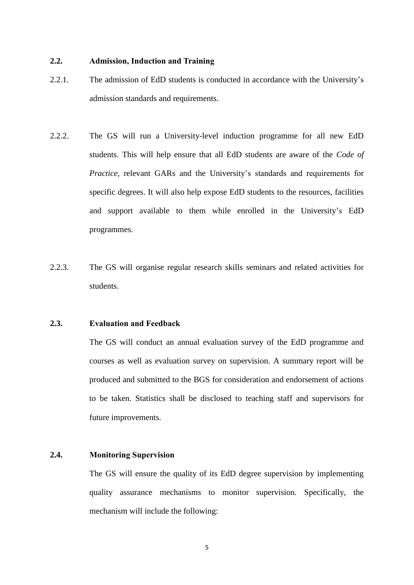## <span id="page-7-0"></span>**2.2. Admission, Induction and Training**

- 2.2.1. The admission of EdD students is conducted in accordance with the University's admission standards and requirements.
- 2.2.2. The GS will run a University-level induction programme for all new EdD students. This will help ensure that all EdD students are aware of the *Code of Practice*, relevant GARs and the University's standards and requirements for specific degrees. It will also help expose EdD students to the resources, facilities and support available to them while enrolled in the University's EdD programmes.
- 2.2.3. The GS will organise regular research skills seminars and related activities for students.

## <span id="page-7-1"></span>**2.3. Evaluation and Feedback**

The GS will conduct an annual evaluation survey of the EdD programme and courses as well as evaluation survey on supervision. A summary report will be produced and submitted to the BGS for consideration and endorsement of actions to be taken. Statistics shall be disclosed to teaching staff and supervisors for future improvements.

## <span id="page-7-2"></span>**2.4. Monitoring Supervision**

The GS will ensure the quality of its EdD degree supervision by implementing quality assurance mechanisms to monitor supervision. Specifically, the mechanism will include the following:

5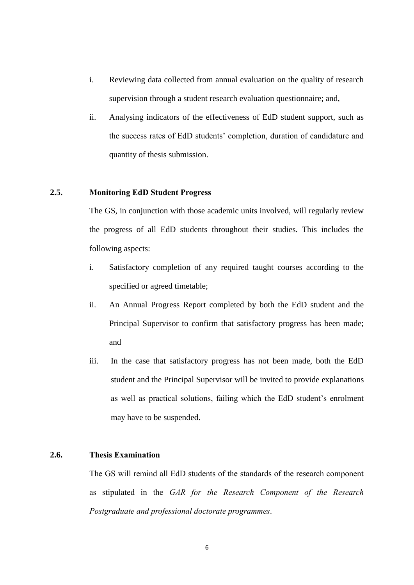- i. Reviewing data collected from annual evaluation on the quality of research supervision through a student research evaluation questionnaire; and,
- ii. Analysing indicators of the effectiveness of EdD student support, such as the success rates of EdD students' completion, duration of candidature and quantity of thesis submission.

## <span id="page-8-0"></span>**2.5. Monitoring EdD Student Progress**

The GS, in conjunction with those academic units involved, will regularly review the progress of all EdD students throughout their studies. This includes the following aspects:

- i. Satisfactory completion of any required taught courses according to the specified or agreed timetable;
- ii. An Annual Progress Report completed by both the EdD student and the Principal Supervisor to confirm that satisfactory progress has been made; and
- iii. In the case that satisfactory progress has not been made, both the EdD student and the Principal Supervisor will be invited to provide explanations as well as practical solutions, failing which the EdD student's enrolment may have to be suspended.

## <span id="page-8-1"></span>**2.6. Thesis Examination**

The GS will remind all EdD students of the standards of the research component as stipulated in the *GAR for the Research Component of the Research Postgraduate and professional doctorate programmes*.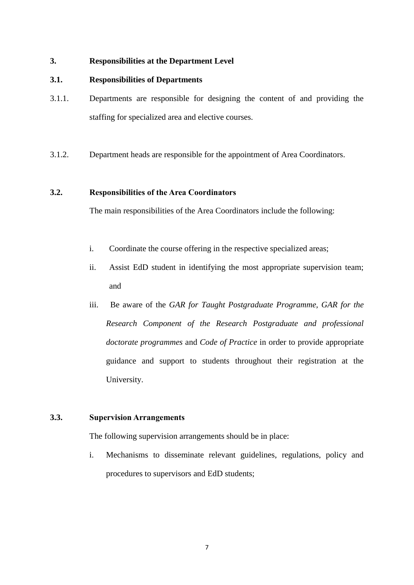### <span id="page-9-0"></span>**3. Responsibilities at the Department Level**

## **3.1. Responsibilities of Departments**

- 3.1.1. Departments are responsible for designing the content of and providing the staffing for specialized area and elective courses.
- 3.1.2. Department heads are responsible for the appointment of Area Coordinators.

## <span id="page-9-1"></span>**3.2. Responsibilities of the Area Coordinators**

The main responsibilities of the Area Coordinators include the following:

- i. Coordinate the course offering in the respective specialized areas;
- ii. Assist EdD student in identifying the most appropriate supervision team; and
- iii. Be aware of the *GAR for Taught Postgraduate Programme, GAR for the Research Component of the Research Postgraduate and professional doctorate programmes* and *Code of Practice* in order to provide appropriate guidance and support to students throughout their registration at the University.

## **3.3. Supervision Arrangements**

The following supervision arrangements should be in place:

i. Mechanisms to disseminate relevant guidelines, regulations, policy and procedures to supervisors and EdD students;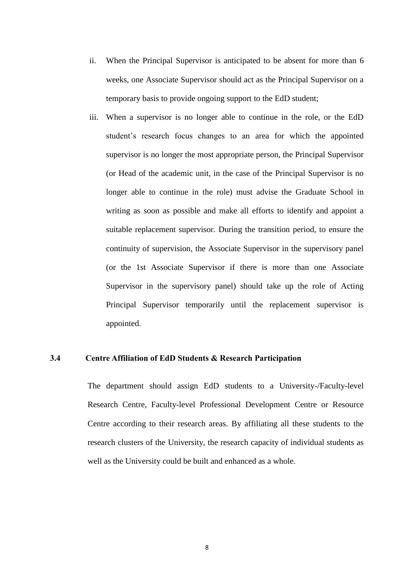- ii. When the Principal Supervisor is anticipated to be absent for more than 6 weeks, one Associate Supervisor should act as the Principal Supervisor on a temporary basis to provide ongoing support to the EdD student;
- iii. When a supervisor is no longer able to continue in the role, or the EdD student's research focus changes to an area for which the appointed supervisor is no longer the most appropriate person, the Principal Supervisor (or Head of the academic unit, in the case of the Principal Supervisor is no longer able to continue in the role) must advise the Graduate School in writing as soon as possible and make all efforts to identify and appoint a suitable replacement supervisor. During the transition period, to ensure the continuity of supervision, the Associate Supervisor in the supervisory panel (or the 1st Associate Supervisor if there is more than one Associate Supervisor in the supervisory panel) should take up the role of Acting Principal Supervisor temporarily until the replacement supervisor is appointed.

#### **3.4 Centre Affiliation of EdD Students & Research Participation**

The department should assign EdD students to a University-/Faculty-level Research Centre, Faculty-level Professional Development Centre or Resource Centre according to their research areas. By affiliating all these students to the research clusters of the University, the research capacity of individual students as well as the University could be built and enhanced as a whole.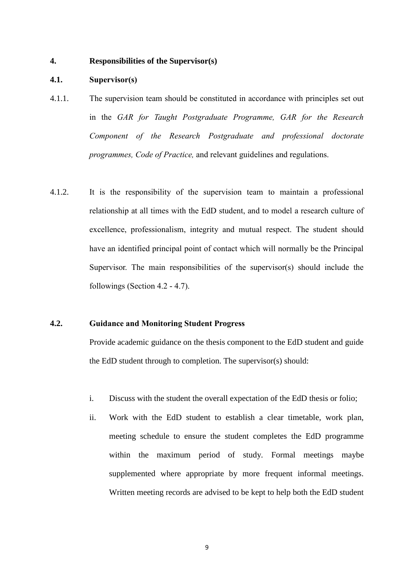#### <span id="page-11-0"></span>**4. Responsibilities of the Supervisor(s)**

#### <span id="page-11-1"></span>**4.1. Supervisor(s)**

- 4.1.1. The supervision team should be constituted in accordance with principles set out in the *GAR for Taught Postgraduate Programme, GAR for the Research Component of the Research Postgraduate and professional doctorate programmes, Code of Practice,* and relevant guidelines and regulations.
- 4.1.2. It is the responsibility of the supervision team to maintain a professional relationship at all times with the EdD student, and to model a research culture of excellence, professionalism, integrity and mutual respect. The student should have an identified principal point of contact which will normally be the Principal Supervisor. The main responsibilities of the supervisor(s) should include the followings (Section 4.2 - 4.7).

#### <span id="page-11-2"></span>**4.2. Guidance and Monitoring Student Progress**

Provide academic guidance on the thesis component to the EdD student and guide the EdD student through to completion. The supervisor(s) should:

- i. Discuss with the student the overall expectation of the EdD thesis or folio;
- ii. Work with the EdD student to establish a clear timetable, work plan, meeting schedule to ensure the student completes the EdD programme within the maximum period of study. Formal meetings maybe supplemented where appropriate by more frequent informal meetings. Written meeting records are advised to be kept to help both the EdD student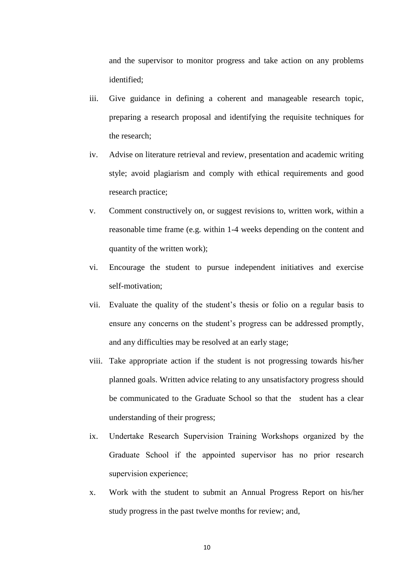and the supervisor to monitor progress and take action on any problems identified;

- iii. Give guidance in defining a coherent and manageable research topic, preparing a research proposal and identifying the requisite techniques for the research;
- iv. Advise on literature retrieval and review, presentation and academic writing style; avoid plagiarism and comply with ethical requirements and good research practice;
- v. Comment constructively on, or suggest revisions to, written work, within a reasonable time frame (e.g. within 1-4 weeks depending on the content and quantity of the written work);
- vi. Encourage the student to pursue independent initiatives and exercise self-motivation;
- vii. Evaluate the quality of the student's thesis or folio on a regular basis to ensure any concerns on the student's progress can be addressed promptly, and any difficulties may be resolved at an early stage;
- viii. Take appropriate action if the student is not progressing towards his/her planned goals. Written advice relating to any unsatisfactory progress should be communicated to the Graduate School so that the student has a clear understanding of their progress;
- ix. Undertake Research Supervision Training Workshops organized by the Graduate School if the appointed supervisor has no prior research supervision experience;
- x. Work with the student to submit an Annual Progress Report on his/her study progress in the past twelve months for review; and,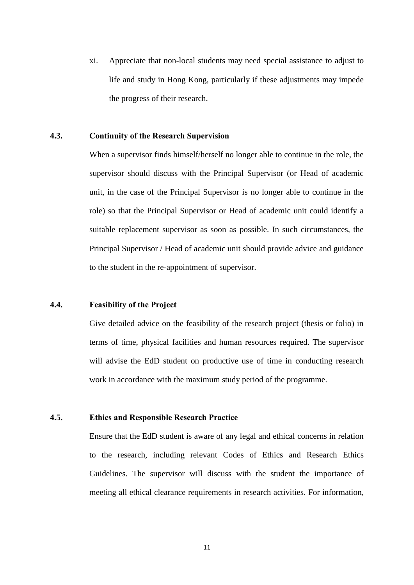xi. Appreciate that non-local students may need special assistance to adjust to life and study in Hong Kong, particularly if these adjustments may impede the progress of their research.

## <span id="page-13-0"></span>**4.3. Continuity of the Research Supervision**

When a supervisor finds himself/herself no longer able to continue in the role, the supervisor should discuss with the Principal Supervisor (or Head of academic unit, in the case of the Principal Supervisor is no longer able to continue in the role) so that the Principal Supervisor or Head of academic unit could identify a suitable replacement supervisor as soon as possible. In such circumstances, the Principal Supervisor / Head of academic unit should provide advice and guidance to the student in the re-appointment of supervisor.

#### **4.4. Feasibility of the Project**

Give detailed advice on the feasibility of the research project (thesis or folio) in terms of time, physical facilities and human resources required. The supervisor will advise the EdD student on productive use of time in conducting research work in accordance with the maximum study period of the programme.

#### <span id="page-13-1"></span>**4.5. Ethics and Responsible Research Practice**

Ensure that the EdD student is aware of any legal and ethical concerns in relation to the research, including relevant Codes of Ethics and Research Ethics Guidelines. The supervisor will discuss with the student the importance of meeting all ethical clearance requirements in research activities. For information,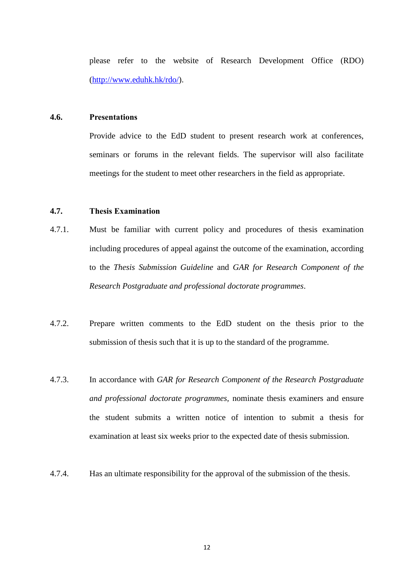<span id="page-14-0"></span>please refer to the website of Research Development Office (RDO) [\(http://www.eduhk.hk/rdo/\)](http://www.eduhk.hk/rdo/).

#### **4.6. Presentations**

Provide advice to the EdD student to present research work at conferences, seminars or forums in the relevant fields. The supervisor will also facilitate meetings for the student to meet other researchers in the field as appropriate.

## <span id="page-14-1"></span>**4.7. Thesis Examination**

- 4.7.1. Must be familiar with current policy and procedures of thesis examination including procedures of appeal against the outcome of the examination, according to the *Thesis Submission Guideline* and *GAR for Research Component of the Research Postgraduate and professional doctorate programmes*.
- 4.7.2. Prepare written comments to the EdD student on the thesis prior to the submission of thesis such that it is up to the standard of the programme.
- 4.7.3. In accordance with *GAR for Research Component of the Research Postgraduate and professional doctorate programmes,* nominate thesis examiners and ensure the student submits a written notice of intention to submit a thesis for examination at least six weeks prior to the expected date of thesis submission.
- 4.7.4. Has an ultimate responsibility for the approval of the submission of the thesis.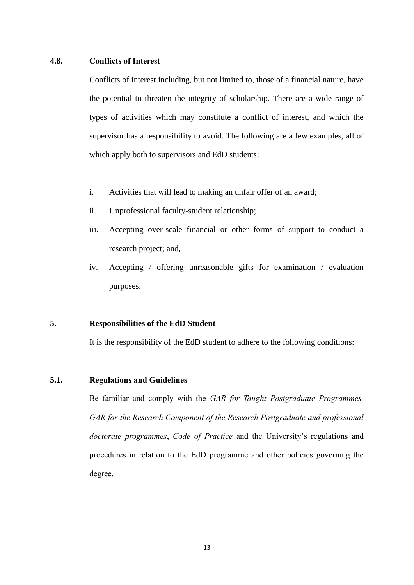#### <span id="page-15-0"></span>**4.8. Conflicts of Interest**

Conflicts of interest including, but not limited to, those of a financial nature, have the potential to threaten the integrity of scholarship. There are a wide range of types of activities which may constitute a conflict of interest, and which the supervisor has a responsibility to avoid. The following are a few examples, all of which apply both to supervisors and EdD students:

- i. Activities that will lead to making an unfair offer of an award;
- ii. Unprofessional faculty-student relationship;
- iii. Accepting over-scale financial or other forms of support to conduct a research project; and,
- iv. Accepting / offering unreasonable gifts for examination / evaluation purposes.

## <span id="page-15-1"></span>**5. Responsibilities of the EdD Student**

It is the responsibility of the EdD student to adhere to the following conditions:

## <span id="page-15-2"></span>**5.1. Regulations and Guidelines**

Be familiar and comply with the *GAR for Taught Postgraduate Programmes,*  GAR for the Research Component of the Research Postgraduate and professional *doctorate programmes*, *Code of Practice* and the University's regulations and procedures in relation to the EdD programme and other policies governing the degree.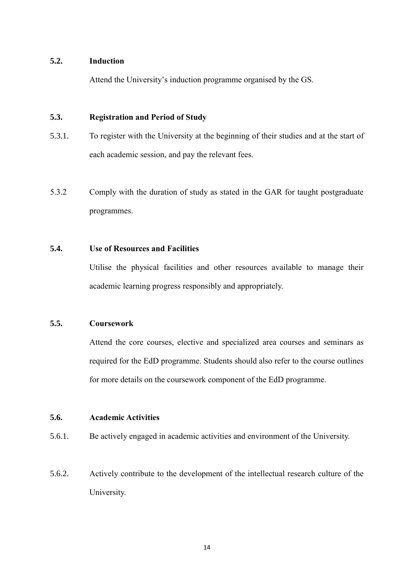#### <span id="page-16-0"></span>**5.2. Induction**

Attend the University's induction programme organised by the GS.

## <span id="page-16-1"></span>**5.3. Registration and Period of Study**

- 5.3.1. To register with the University at the beginning of their studies and at the start of each academic session, and pay the relevant fees.
- 5.3.2 Comply with the duration of study as stated in the GAR for taught postgraduate programmes.

## <span id="page-16-2"></span>**5.4. Use of Resources and Facilities**

Utilise the physical facilities and other resources available to manage their academic learning progress responsibly and appropriately.

## **5.5. Coursework**

Attend the core courses, elective and specialized area courses and seminars as required for the EdD programme. Students should also refer to the course outlines for more details on the coursework component of the EdD programme.

#### <span id="page-16-3"></span>**5.6. Academic Activities**

- 5.6.1. Be actively engaged in academic activities and environment of the University.
- 5.6.2. Actively contribute to the development of the intellectual research culture of the University.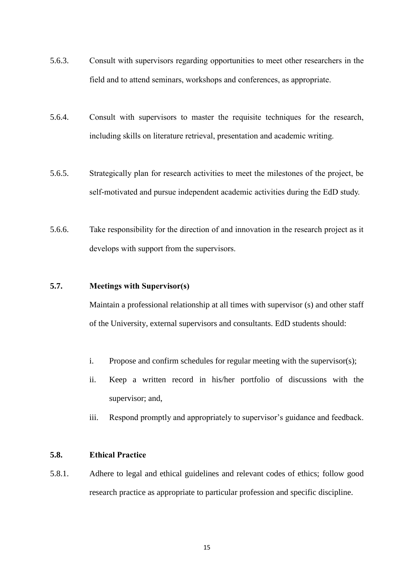- 5.6.3. Consult with supervisors regarding opportunities to meet other researchers in the field and to attend seminars, workshops and conferences, as appropriate.
- 5.6.4. Consult with supervisors to master the requisite techniques for the research, including skills on literature retrieval, presentation and academic writing.
- 5.6.5. Strategically plan for research activities to meet the milestones of the project, be self-motivated and pursue independent academic activities during the EdD study.
- 5.6.6. Take responsibility for the direction of and innovation in the research project as it develops with support from the supervisors.

## <span id="page-17-0"></span>**5.7. Meetings with Supervisor(s)**

Maintain a professional relationship at all times with supervisor (s) and other staff of the University, external supervisors and consultants. EdD students should:

- i. Propose and confirm schedules for regular meeting with the supervisor(s);
- ii. Keep a written record in his/her portfolio of discussions with the supervisor; and,
- iii. Respond promptly and appropriately to supervisor's guidance and feedback.

## <span id="page-17-1"></span>**5.8. Ethical Practice**

5.8.1. Adhere to legal and ethical guidelines and relevant codes of ethics; follow good research practice as appropriate to particular profession and specific discipline.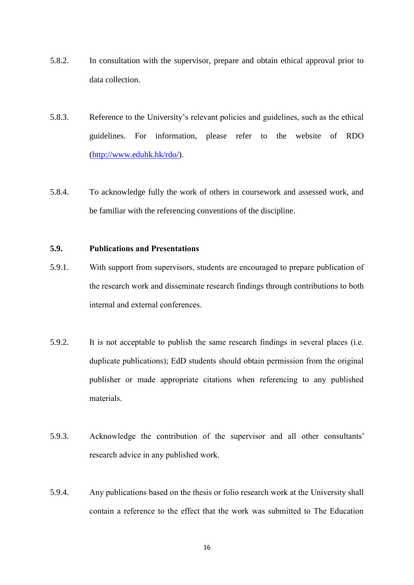- 5.8.2. In consultation with the supervisor, prepare and obtain ethical approval prior to data collection.
- 5.8.3. Reference to the University's relevant policies and guidelines, such as the ethical guidelines. For information, please refer to the website of RDO [\(http://www.eduhk.hk/rdo/\)](http://www.eduhk.hk/rdo/).
- 5.8.4. To acknowledge fully the work of others in coursework and assessed work, and be familiar with the referencing conventions of the discipline.

## <span id="page-18-0"></span>**5.9. Publications and Presentations**

- 5.9.1. With support from supervisors, students are encouraged to prepare publication of the research work and disseminate research findings through contributions to both internal and external conferences.
- 5.9.2. It is not acceptable to publish the same research findings in several places (i.e. duplicate publications); EdD students should obtain permission from the original publisher or made appropriate citations when referencing to any published materials.
- 5.9.3. Acknowledge the contribution of the supervisor and all other consultants' research advice in any published work.
- 5.9.4. Any publications based on the thesis or folio research work at the University shall contain a reference to the effect that the work was submitted to The Education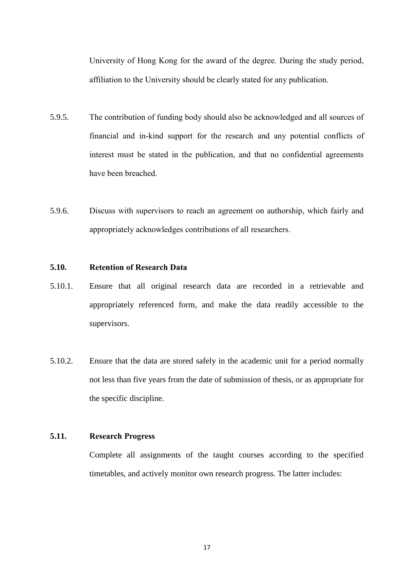University of Hong Kong for the award of the degree. During the study period, affiliation to the University should be clearly stated for any publication.

- 5.9.5. The contribution of funding body should also be acknowledged and all sources of financial and in-kind support for the research and any potential conflicts of interest must be stated in the publication, and that no confidential agreements have been breached.
- 5.9.6. Discuss with supervisors to reach an agreement on authorship, which fairly and appropriately acknowledges contributions of all researchers.

## <span id="page-19-0"></span>**5.10. Retention of Research Data**

- 5.10.1. Ensure that all original research data are recorded in a retrievable and appropriately referenced form, and make the data readily accessible to the supervisors.
- 5.10.2. Ensure that the data are stored safely in the academic unit for a period normally not less than five years from the date of submission of thesis, or as appropriate for the specific discipline.

## <span id="page-19-1"></span>**5.11. Research Progress**

Complete all assignments of the taught courses according to the specified timetables, and actively monitor own research progress. The latter includes: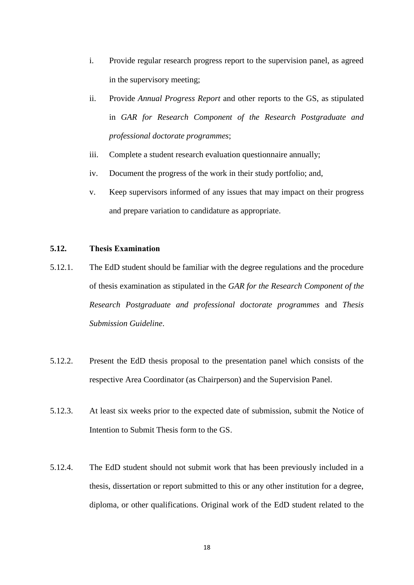- i. Provide regular research progress report to the supervision panel, as agreed in the supervisory meeting;
- ii. Provide *Annual Progress Report* and other reports to the GS, as stipulated in *GAR for Research Component of the Research Postgraduate and professional doctorate programmes*;
- iii. Complete a student research evaluation questionnaire annually;
- iv. Document the progress of the work in their study portfolio; and,
- v. Keep supervisors informed of any issues that may impact on their progress and prepare variation to candidature as appropriate.

## <span id="page-20-0"></span>**5.12. Thesis Examination**

- 5.12.1. The EdD student should be familiar with the degree regulations and the procedure of thesis examination as stipulated in the *GAR for the Research Component of the Research Postgraduate and professional doctorate programmes* and *Thesis Submission Guideline*.
- 5.12.2. Present the EdD thesis proposal to the presentation panel which consists of the respective Area Coordinator (as Chairperson) and the Supervision Panel.
- 5.12.3. At least six weeks prior to the expected date of submission, submit the Notice of Intention to Submit Thesis form to the GS.
- 5.12.4. The EdD student should not submit work that has been previously included in a thesis, dissertation or report submitted to this or any other institution for a degree, diploma, or other qualifications. Original work of the EdD student related to the